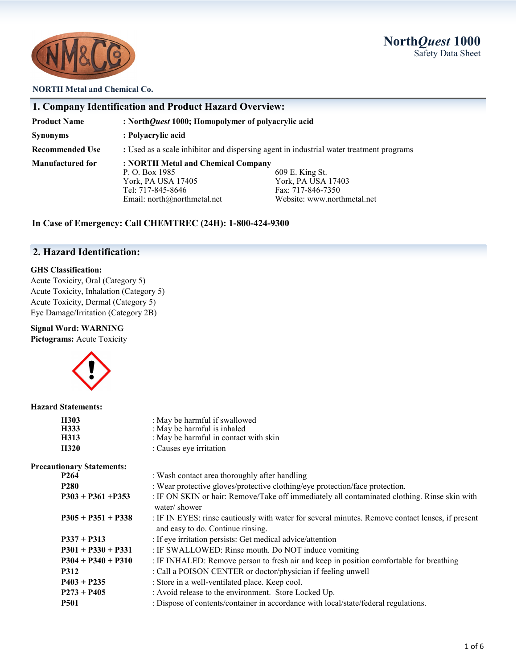### **North***Quest* **1000** Safety Data Sheet



#### **NORTH Metal and Chemical Co.**

| 1. Company Identification and Product Hazard Overview: |                                                                                                                                |                                                                                           |  |
|--------------------------------------------------------|--------------------------------------------------------------------------------------------------------------------------------|-------------------------------------------------------------------------------------------|--|
| <b>Product Name</b>                                    | : North Quest 1000; Homopolymer of polyacrylic acid                                                                            |                                                                                           |  |
| <b>Synonyms</b>                                        | : Polyacrylic acid                                                                                                             |                                                                                           |  |
| <b>Recommended Use</b>                                 | : Used as a scale inhibitor and dispersing agent in industrial water treatment programs                                        |                                                                                           |  |
| Manufactured for                                       | : NORTH Metal and Chemical Company<br>P. O. Box 1985<br>York, PA USA 17405<br>Tel: 717-845-8646<br>Email: north@northmetal.net | 609 E. King St.<br>York, PA USA 17403<br>Fax: 717-846-7350<br>Website: www.northmetal.net |  |

### **In Case of Emergency: Call CHEMTREC (24H): 1-800-424-9300**

### **2. Hazard Identification:**

#### **GHS Classification:**

Acute Toxicity, Oral (Category 5) Acute Toxicity, Inhalation (Category 5) Acute Toxicity, Dermal (Category 5) Eye Damage/Irritation (Category 2B)

### **Signal Word: WARNING**

**Pictograms:** Acute Toxicity



#### **Hazard Statements:**

| H303<br>H333<br>H313             | : May be harmful if swallowed<br>: May be harmful is inhaled<br>: May be harmful in contact with skin                                 |
|----------------------------------|---------------------------------------------------------------------------------------------------------------------------------------|
| H320                             | : Causes eye irritation                                                                                                               |
|                                  |                                                                                                                                       |
| <b>Precautionary Statements:</b> |                                                                                                                                       |
| P <sub>264</sub>                 | : Wash contact area thoroughly after handling                                                                                         |
| <b>P280</b>                      | : Wear protective gloves/protective clothing/eye protection/face protection.                                                          |
| $P303 + P361 + P353$             | : IF ON SKIN or hair: Remove/Take off immediately all contaminated clothing. Rinse skin with<br>water/shower                          |
| $P305 + P351 + P338$             | : IF IN EYES: rinse cautiously with water for several minutes. Remove contact lenses, if present<br>and easy to do. Continue rinsing. |
| $P337 + P313$                    | : If eye irritation persists: Get medical advice/attention                                                                            |
| $P301 + P330 + P331$             | : IF SWALLOWED: Rinse mouth. Do NOT induce vomiting                                                                                   |
| $P304 + P340 + P310$             | : IF INHALED: Remove person to fresh air and keep in position comfortable for breathing                                               |
| <b>P312</b>                      | : Call a POISON CENTER or doctor/physician if feeling unwell                                                                          |
| $P403 + P235$                    | : Store in a well-ventilated place. Keep cool.                                                                                        |
| $P273 + P405$                    | : Avoid release to the environment. Store Locked Up.                                                                                  |
| <b>P501</b>                      | : Dispose of contents/container in accordance with local/state/federal regulations.                                                   |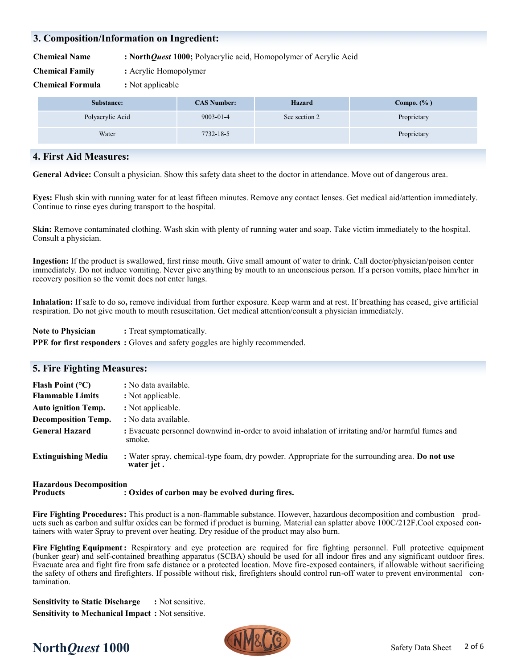### **3. Composition/Information on Ingredient:**

**Chemical Name : North***Quest* **1000;** Polyacrylic acid, Homopolymer of Acrylic Acid

**Chemical Family :** Acrylic Homopolymer

**Chemical Formula :** Not applicable

| Substance:       | <b>CAS Number:</b> | Hazard        | Compo. $(\% )$ |
|------------------|--------------------|---------------|----------------|
| Polyacrylic Acid | $9003 - 01 - 4$    | See section 2 | Proprietary    |
| Water            | 7732-18-5          |               | Proprietary    |

#### **4. First Aid Measures:**

**General Advice:** Consult a physician. Show this safety data sheet to the doctor in attendance. Move out of dangerous area.

**Eyes:** Flush skin with running water for at least fifteen minutes. Remove any contact lenses. Get medical aid/attention immediately. Continue to rinse eyes during transport to the hospital.

**Skin:** Remove contaminated clothing. Wash skin with plenty of running water and soap. Take victim immediately to the hospital. Consult a physician.

**Ingestion:** If the product is swallowed, first rinse mouth. Give small amount of water to drink. Call doctor/physician/poison center immediately. Do not induce vomiting. Never give anything by mouth to an unconscious person. If a person vomits, place him/her in recovery position so the vomit does not enter lungs.

**Inhalation:** If safe to do so**,** remove individual from further exposure. Keep warm and at rest. If breathing has ceased, give artificial respiration. Do not give mouth to mouth resuscitation. Get medical attention/consult a physician immediately.

**Note to Physician :** Treat symptomatically. **PPE for first responders :** Gloves and safety goggles are highly recommended.

| <b>5. Fire Fighting Measures:</b> |                                                                                                               |
|-----------------------------------|---------------------------------------------------------------------------------------------------------------|
| Flash Point $(^{\circ}C)$         | : No data available.                                                                                          |
| <b>Flammable Limits</b>           | : Not applicable.                                                                                             |
| <b>Auto ignition Temp.</b>        | : Not applicable.                                                                                             |
| <b>Decomposition Temp.</b>        | : No data available.                                                                                          |
| <b>General Hazard</b>             | : Evacuate personnel downwind in-order to avoid inhalation of irritating and/or harmful fumes and<br>smoke.   |
| <b>Extinguishing Media</b>        | : Water spray, chemical-type foam, dry powder. Appropriate for the surrounding area. Do not use<br>water jet. |
|                                   |                                                                                                               |

#### **Hazardous Decomposition Products : Oxides of carbon may be evolved during fires.**

**Fire Fighting Procedures:** This product is a non-flammable substance. However, hazardous decomposition and combustion products such as carbon and sulfur oxides can be formed if product is burning. Material can splatter above 100C/212F.Cool exposed containers with water Spray to prevent over heating. Dry residue of the product may also burn.

**Fire Fighting Equipment:** Respiratory and eye protection are required for fire fighting personnel. Full protective equipment (bunker gear) and self-contained breathing apparatus (SCBA) should be used for all indoor fires and any significant outdoor fires. Evacuate area and fight fire from safe distance or a protected location. Move fire-exposed containers, if allowable without sacrificing the safety of others and firefighters. If possible without risk, firefighters should control run-off water to prevent environmental contamination.

**Sensitivity to Static Discharge :** Not sensitive. **Sensitivity to Mechanical Impact :** Not sensitive.



# **North***Quest* **1000** Safety Data Sheet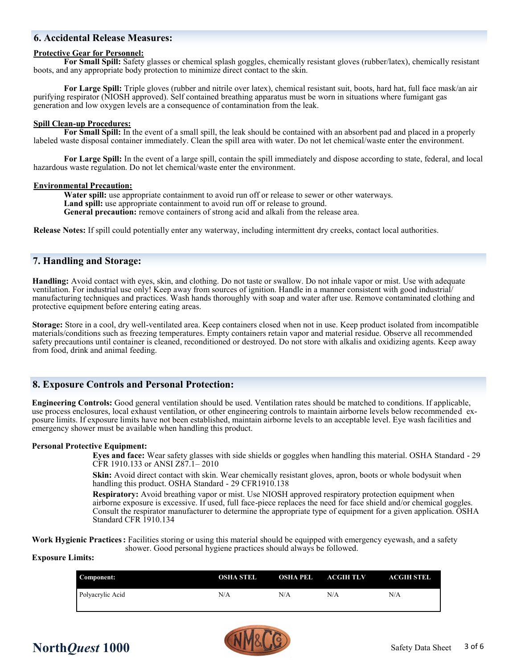### **6. Accidental Release Measures:**

#### **Protective Gear for Personnel:**

**For Small Spill:** Safety glasses or chemical splash goggles, chemically resistant gloves (rubber/latex), chemically resistant boots, and any appropriate body protection to minimize direct contact to the skin.

**For Large Spill:** Triple gloves (rubber and nitrile over latex), chemical resistant suit, boots, hard hat, full face mask/an air purifying respirator (NIOSH approved). Self contained breathing apparatus must be worn in situations where fumigant gas generation and low oxygen levels are a consequence of contamination from the leak.

#### **Spill Clean-up Procedures:**

**For Small Spill:** In the event of a small spill, the leak should be contained with an absorbent pad and placed in a properly labeled waste disposal container immediately. Clean the spill area with water. Do not let chemical/waste enter the environment.

**For Large Spill:** In the event of a large spill, contain the spill immediately and dispose according to state, federal, and local hazardous waste regulation. Do not let chemical/waste enter the environment.

#### **Environmental Precaution:**

**Water spill:** use appropriate containment to avoid run off or release to sewer or other waterways. Land spill: use appropriate containment to avoid run off or release to ground. **General precaution:** remove containers of strong acid and alkali from the release area.

**Release Notes:** If spill could potentially enter any waterway, including intermittent dry creeks, contact local authorities.

#### **7. Handling and Storage:**

**Handling:** Avoid contact with eyes, skin, and clothing. Do not taste or swallow. Do not inhale vapor or mist. Use with adequate ventilation. For industrial use only! Keep away from sources of ignition. Handle in a manner consistent with good industrial/ manufacturing techniques and practices. Wash hands thoroughly with soap and water after use. Remove contaminated clothing and protective equipment before entering eating areas.

**Storage:** Store in a cool, dry well-ventilated area. Keep containers closed when not in use. Keep product isolated from incompatible materials/conditions such as freezing temperatures. Empty containers retain vapor and material residue. Observe all recommended safety precautions until container is cleaned, reconditioned or destroyed. Do not store with alkalis and oxidizing agents. Keep away from food, drink and animal feeding.

#### **8. Exposure Controls and Personal Protection:**

**Engineering Controls:** Good general ventilation should be used. Ventilation rates should be matched to conditions. If applicable, use process enclosures, local exhaust ventilation, or other engineering controls to maintain airborne levels below recommended exposure limits. If exposure limits have not been established, maintain airborne levels to an acceptable level. Eye wash facilities and emergency shower must be available when handling this product.

#### **Personal Protective Equipment:**

**Eyes and face:** Wear safety glasses with side shields or goggles when handling this material. OSHA Standard - 29 CFR 1910.133 or ANSI Z87.1– 2010

**Skin:** Avoid direct contact with skin. Wear chemically resistant gloves, apron, boots or whole bodysuit when handling this product. OSHA Standard - 29 CFR1910.138

**Respiratory:** Avoid breathing vapor or mist. Use NIOSH approved respiratory protection equipment when airborne exposure is excessive. If used, full face-piece replaces the need for face shield and/or chemical goggles. Consult the respirator manufacturer to determine the appropriate type of equipment for a given application. OSHA Standard CFR 1910.134

**Work Hygienic Practices:** Facilities storing or using this material should be equipped with emergency eyewash, and a safety shower. Good personal hygiene practices should always be followed.

#### **Exposure Limits:**

| Component:       | <b>OSHA STEL</b> | <b>OSHA PEL ACGIH TLV</b> |     | <b>ACGIH STEL</b> |
|------------------|------------------|---------------------------|-----|-------------------|
| Polyacrylic Acid | N/A              | N/A                       | N/A | N/A               |

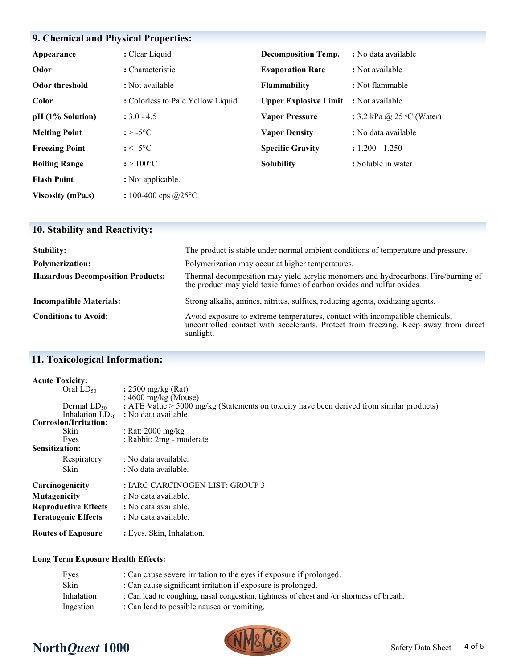## **9. Chemical and Physical Properties:**

| Appearance               | : Clear Liquid                    | <b>Decomposition Temp.</b>   | : No data available                |
|--------------------------|-----------------------------------|------------------------------|------------------------------------|
| Odor                     | : Characteristic                  | <b>Evaporation Rate</b>      | : Not available                    |
| <b>Odor threshold</b>    | : Not available                   | <b>Flammability</b>          | : Not flammable                    |
| Color                    | : Colorless to Pale Yellow Liquid | <b>Upper Explosive Limit</b> | : Not available                    |
| pH (1% Solution)         | $: 3.0 - 4.5$                     | <b>Vapor Pressure</b>        | : 3.2 kPa @ 25 $\degree$ C (Water) |
| <b>Melting Point</b>     | $: > -5$ °C                       | <b>Vapor Density</b>         | : No data available                |
| <b>Freezing Point</b>    | $: < -5$ °C                       | <b>Specific Gravity</b>      | $: 1.200 - 1.250$                  |
| <b>Boiling Range</b>     | $: > 100^{\circ}C$                | <b>Solubility</b>            | : Soluble in water                 |
| <b>Flash Point</b>       | : Not applicable.                 |                              |                                    |
| <b>Viscosity (mPa.s)</b> | : 100-400 cps $@25$ °C            |                              |                                    |

## **10. Stability and Reactivity:**

| <b>Stability:</b>                        | The product is stable under normal ambient conditions of temperature and pressure.                                                                                               |
|------------------------------------------|----------------------------------------------------------------------------------------------------------------------------------------------------------------------------------|
| <b>Polymerization:</b>                   | Polymerization may occur at higher temperatures.                                                                                                                                 |
| <b>Hazardous Decomposition Products:</b> | Thermal decomposition may yield acrylic monomers and hydrocarbons. Fire/burning of<br>the product may yield toxic fumes of carbon oxides and sulfur oxides.                      |
| <b>Incompatible Materials:</b>           | Strong alkalis, amines, nitrites, sulfites, reducing agents, oxidizing agents.                                                                                                   |
| <b>Conditions to Avoid:</b>              | Avoid exposure to extreme temperatures, contact with incompatible chemicals,<br>uncontrolled contact with accelerants. Protect from freezing. Keep away from direct<br>sunlight. |

## **11. Toxicological Information:**

| <b>Acute Toxicity:</b>      |                                                                                             |
|-----------------------------|---------------------------------------------------------------------------------------------|
| Oral $LD_{50}$              | : $2500 \text{ mg/kg}$ (Rat)                                                                |
|                             | : $4600$ mg/kg (Mouse)                                                                      |
| Dermal $LD_{50}$            | : ATE Value $> 5000$ mg/kg (Statements on toxicity have been derived from similar products) |
| Inhalation $LD_{50}$        | : No data available                                                                         |
| Corrosion/Irritation:       |                                                                                             |
| Skin                        | : Rat: $2000 \text{ mg/kg}$                                                                 |
| Eyes                        | : Rabbit: 2mg - moderate                                                                    |
| <b>Sensitization:</b>       |                                                                                             |
| Respiratory                 | : No data available.                                                                        |
| Skin                        | : No data available.                                                                        |
| Carcinogenicity             | : IARC CARCINOGEN LIST: GROUP 3                                                             |
| Mutagenicity                | : No data available.                                                                        |
| <b>Reproductive Effects</b> | : No data available.                                                                        |
| <b>Teratogenic Effects</b>  | : No data available.                                                                        |
| <b>Routes of Exposure</b>   | : Eyes, Skin, Inhalation.                                                                   |

### **Long Term Exposure Health Effects:**

| : Can lead to coughing, nasal congestion, tightness of chest and /or shortness of breath. |
|-------------------------------------------------------------------------------------------|
|                                                                                           |
|                                                                                           |

# **North***Quest* **1000** Safety Data Sheet

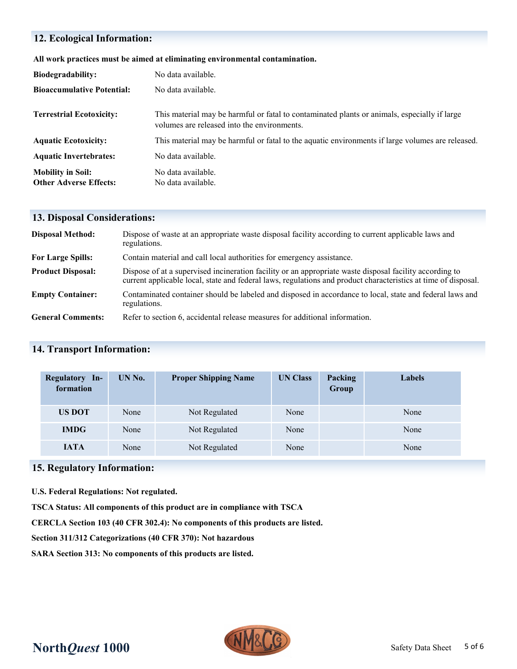### **12. Ecological Information:**

| All work practices must be aimed at eliminating environmental contamination. |  |  |
|------------------------------------------------------------------------------|--|--|

| <b>Biodegradability:</b>          | No data available.                                                                                                                          |
|-----------------------------------|---------------------------------------------------------------------------------------------------------------------------------------------|
| <b>Bioaccumulative Potential:</b> | No data available.                                                                                                                          |
| <b>Terrestrial Ecotoxicity:</b>   | This material may be harmful or fatal to contaminated plants or animals, especially if large<br>volumes are released into the environments. |
| <b>Aquatic Ecotoxicity:</b>       | This material may be harmful or fatal to the aquatic environments if large volumes are released.                                            |
| <b>Aquatic Invertebrates:</b>     | No data available.                                                                                                                          |
| <b>Mobility in Soil:</b>          | No data available.                                                                                                                          |
| <b>Other Adverse Effects:</b>     | No data available.                                                                                                                          |

### **13. Disposal Considerations:**

| <b>Disposal Method:</b>  | Dispose of waste at an appropriate waste disposal facility according to current applicable laws and<br>regulations.                                                                                                       |
|--------------------------|---------------------------------------------------------------------------------------------------------------------------------------------------------------------------------------------------------------------------|
| <b>For Large Spills:</b> | Contain material and call local authorities for emergency assistance.                                                                                                                                                     |
| <b>Product Disposal:</b> | Dispose of at a supervised incineration facility or an appropriate waste disposal facility according to<br>current applicable local, state and federal laws, regulations and product characteristics at time of disposal. |
| <b>Empty Container:</b>  | Contaminated container should be labeled and disposed in accordance to local, state and federal laws and<br>regulations.                                                                                                  |
| <b>General Comments:</b> | Refer to section 6, accidental release measures for additional information.                                                                                                                                               |

### **14. Transport Information:**

| Regulatory In-<br>formation | UN No. | <b>Proper Shipping Name</b> | <b>UN Class</b> | Packing<br>Group | <b>Labels</b> |
|-----------------------------|--------|-----------------------------|-----------------|------------------|---------------|
| <b>US DOT</b>               | None   | Not Regulated               | None            |                  | None          |
| <b>IMDG</b>                 | None   | Not Regulated               | None            |                  | None          |
| <b>IATA</b>                 | None   | Not Regulated               | None            |                  | None          |

### **15. Regulatory Information:**

**U.S. Federal Regulations: Not regulated.**

**TSCA Status: All components of this product are in compliance with TSCA**

**CERCLA Section 103 (40 CFR 302.4): No components of this products are listed.**

**Section 311/312 Categorizations (40 CFR 370): Not hazardous**

**SARA Section 313: No components of this products are listed.**